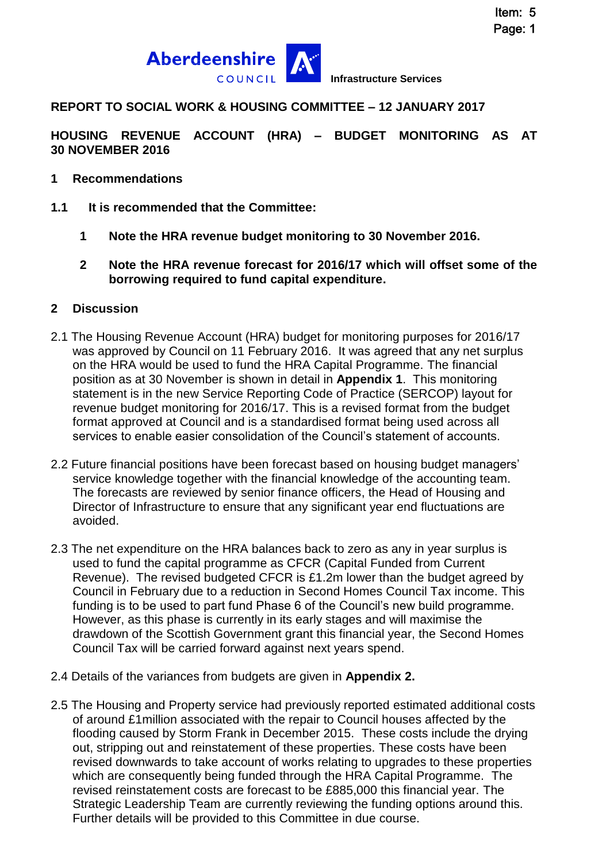

**REPORT TO SOCIAL WORK & HOUSING COMMITTEE – 12 JANUARY 2017**

**HOUSING REVENUE ACCOUNT (HRA) – BUDGET MONITORING AS AT 30 NOVEMBER 2016**

- **1 Recommendations**
- **1.1 It is recommended that the Committee:**
	- **1 Note the HRA revenue budget monitoring to 30 November 2016.**
	- **2 Note the HRA revenue forecast for 2016/17 which will offset some of the borrowing required to fund capital expenditure.**

#### **2 Discussion**

- 2.1 The Housing Revenue Account (HRA) budget for monitoring purposes for 2016/17 was approved by Council on 11 February 2016. It was agreed that any net surplus on the HRA would be used to fund the HRA Capital Programme. The financial position as at 30 November is shown in detail in **Appendix 1**. This monitoring statement is in the new Service Reporting Code of Practice (SERCOP) layout for revenue budget monitoring for 2016/17. This is a revised format from the budget format approved at Council and is a standardised format being used across all services to enable easier consolidation of the Council's statement of accounts.
- 2.2 Future financial positions have been forecast based on housing budget managers' service knowledge together with the financial knowledge of the accounting team. The forecasts are reviewed by senior finance officers, the Head of Housing and Director of Infrastructure to ensure that any significant year end fluctuations are avoided.
- 2.3 The net expenditure on the HRA balances back to zero as any in year surplus is used to fund the capital programme as CFCR (Capital Funded from Current Revenue). The revised budgeted CFCR is £1.2m lower than the budget agreed by Council in February due to a reduction in Second Homes Council Tax income. This funding is to be used to part fund Phase 6 of the Council's new build programme. However, as this phase is currently in its early stages and will maximise the drawdown of the Scottish Government grant this financial year, the Second Homes Council Tax will be carried forward against next years spend.
- 2.4 Details of the variances from budgets are given in **Appendix 2.**
- 2.5 The Housing and Property service had previously reported estimated additional costs of around £1million associated with the repair to Council houses affected by the flooding caused by Storm Frank in December 2015. These costs include the drying out, stripping out and reinstatement of these properties. These costs have been revised downwards to take account of works relating to upgrades to these properties which are consequently being funded through the HRA Capital Programme. The revised reinstatement costs are forecast to be £885,000 this financial year. The Strategic Leadership Team are currently reviewing the funding options around this. Further details will be provided to this Committee in due course.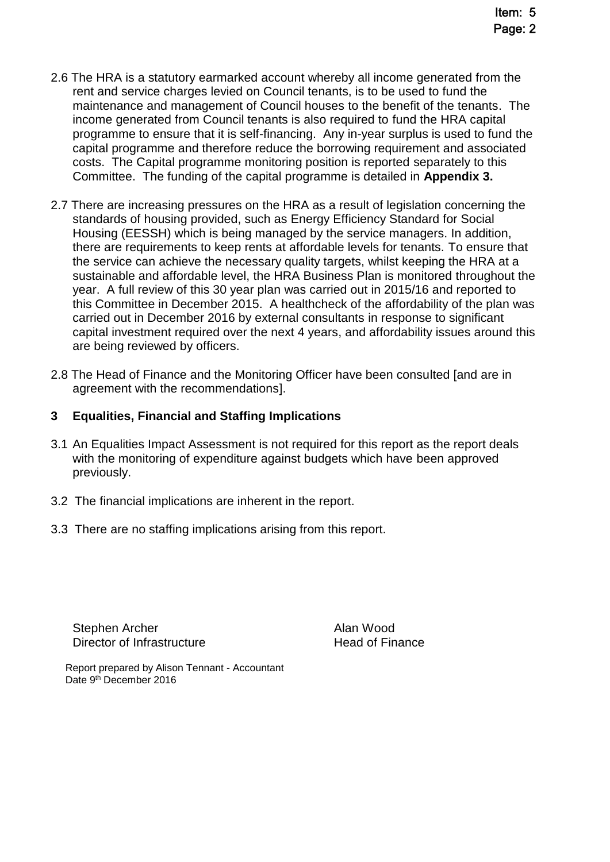- 2.6 The HRA is a statutory earmarked account whereby all income generated from the rent and service charges levied on Council tenants, is to be used to fund the maintenance and management of Council houses to the benefit of the tenants. The income generated from Council tenants is also required to fund the HRA capital programme to ensure that it is self-financing. Any in-year surplus is used to fund the capital programme and therefore reduce the borrowing requirement and associated costs. The Capital programme monitoring position is reported separately to this Committee. The funding of the capital programme is detailed in **Appendix 3.**
- 2.7 There are increasing pressures on the HRA as a result of legislation concerning the standards of housing provided, such as Energy Efficiency Standard for Social Housing (EESSH) which is being managed by the service managers. In addition, there are requirements to keep rents at affordable levels for tenants. To ensure that the service can achieve the necessary quality targets, whilst keeping the HRA at a sustainable and affordable level, the HRA Business Plan is monitored throughout the year. A full review of this 30 year plan was carried out in 2015/16 and reported to this Committee in December 2015. A healthcheck of the affordability of the plan was carried out in December 2016 by external consultants in response to significant capital investment required over the next 4 years, and affordability issues around this are being reviewed by officers.
- 2.8 The Head of Finance and the Monitoring Officer have been consulted [and are in agreement with the recommendations].

### **3 Equalities, Financial and Staffing Implications**

- 3.1 An Equalities Impact Assessment is not required for this report as the report deals with the monitoring of expenditure against budgets which have been approved previously.
- 3.2 The financial implications are inherent in the report.
- 3.3 There are no staffing implications arising from this report.

Stephen Archer **Alan Wood** Director of Infrastructure **Exercise Server Accord Head of Finance** 

Report prepared by Alison Tennant - Accountant Date 9<sup>th</sup> December 2016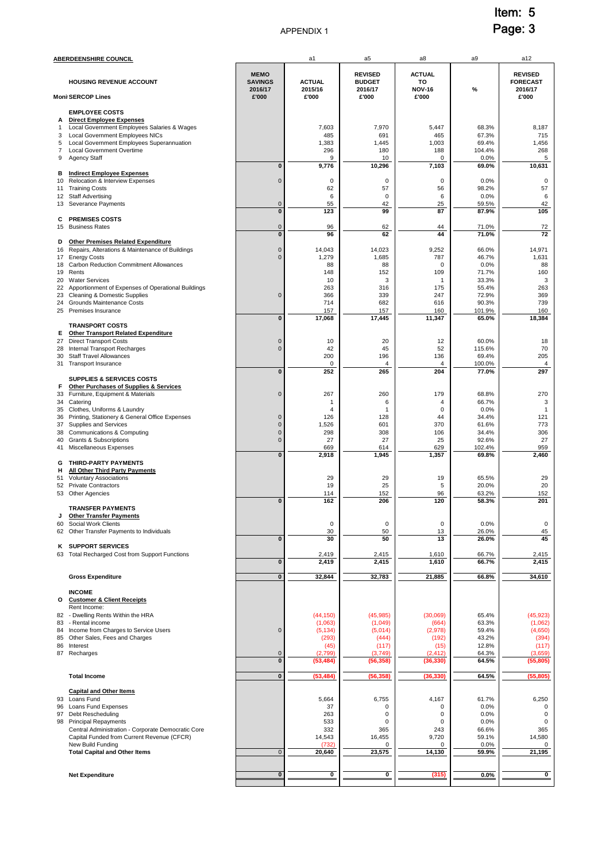#### APPENDIX 1

Item: 5 Page: 3

|                                                              | <u>ABERDEENSHIRE COUNCIL</u>                                                                                                                                                                                                                              |                                          | a1                                                                        | a5                                                                        | a8                                                                     | a9                                                               | a12                                                                      |
|--------------------------------------------------------------|-----------------------------------------------------------------------------------------------------------------------------------------------------------------------------------------------------------------------------------------------------------|------------------------------------------|---------------------------------------------------------------------------|---------------------------------------------------------------------------|------------------------------------------------------------------------|------------------------------------------------------------------|--------------------------------------------------------------------------|
|                                                              | <b>HOUSING REVENUE ACCOUNT</b>                                                                                                                                                                                                                            | <b>MEMO</b><br><b>SAVINGS</b><br>2016/17 | <b>ACTUAL</b><br>2015/16                                                  | <b>REVISED</b><br><b>BUDGET</b><br>2016/17                                | <b>ACTUAL</b><br>то<br><b>NOV-16</b>                                   | %                                                                | <b>REVISED</b><br><b>FORECAST</b><br>2016/17                             |
| £'000<br>£'000<br>£'000<br>£'000<br><b>Moni SERCOP Lines</b> |                                                                                                                                                                                                                                                           |                                          |                                                                           |                                                                           |                                                                        | £'000                                                            |                                                                          |
| А<br>1<br>3<br>5<br>7<br>9                                   | <b>EMPLOYEE COSTS</b><br><b>Direct Employee Expenses</b><br>Local Government Employees Salaries & Wages<br>Local Government Employees NICs<br>Local Government Employees Superannuation<br><b>Local Government Overtime</b><br><b>Agency Staff</b>        | $\pmb{0}$                                | 7,603<br>485<br>1,383<br>296<br>9<br>9,776                                | 7,970<br>691<br>1,445<br>180<br>10<br>10,296                              | 5,447<br>465<br>1,003<br>188<br>0<br>7,103                             | 68.3%<br>67.3%<br>69.4%<br>104.4%<br>0.0%<br>69.0%               | 8,187<br>715<br>1,456<br>268<br>5<br>10,631                              |
| в<br>10<br>12                                                | <b>Indirect Employee Expenses</b><br>Relocation & Interview Expenses<br>11 Training Costs<br><b>Staff Advertising</b>                                                                                                                                     | $\mathbf 0$                              | 0<br>62<br>6                                                              | 0<br>57<br>$\mathsf 0$                                                    | 0<br>56<br>6                                                           | 0.0%<br>98.2%<br>0.0%                                            | 0<br>57<br>6                                                             |
| 13<br>c                                                      | Severance Payments<br><b>PREMISES COSTS</b>                                                                                                                                                                                                               | $\mathbf 0$<br>$\pmb{0}$                 | 55<br>123                                                                 | 42<br>99                                                                  | 25<br>87                                                               | 59.5%<br>87.9%                                                   | 42<br>105                                                                |
| 15<br>D                                                      | <b>Business Rates</b><br><b>Other Premises Related Expenditure</b>                                                                                                                                                                                        | $\mathbf 0$<br>$\overline{\mathbf{0}}$   | 96<br>96                                                                  | 62<br>62                                                                  | 44<br>44                                                               | 71.0%<br>71.0%                                                   | 72<br>72                                                                 |
| 16<br>18<br>19                                               | Repairs, Alterations & Maintenance of Buildings<br>17 Energy Costs<br>Carbon Reduction Commitment Allowances<br>Rents                                                                                                                                     | $\mathbf 0$<br>$\mathbf 0$               | 14,043<br>1,279<br>88<br>148                                              | 14,023<br>1,685<br>88<br>152                                              | 9,252<br>787<br>$\mathbf 0$<br>109                                     | 66.0%<br>46.7%<br>0.0%<br>71.7%                                  | 14,971<br>1,631<br>88<br>160                                             |
| 20<br>22<br>23<br>24<br>25                                   | <b>Water Services</b><br>Apportionment of Expenses of Operational Buildings<br>Cleaning & Domestic Supplies<br>Grounds Maintenance Costs<br>Premises Insurance                                                                                            | $\mathbf 0$                              | 10<br>263<br>366<br>714<br>157                                            | 3<br>316<br>339<br>682<br>157                                             | $\mathbf{1}$<br>175<br>247<br>616<br>160                               | 33.3%<br>55.4%<br>72.9%<br>90.3%<br>101.9%                       | 3<br>263<br>369<br>739<br>160                                            |
|                                                              |                                                                                                                                                                                                                                                           | $\pmb{0}$                                | 17,068                                                                    | 17,445                                                                    | 11,347                                                                 | 65.0%                                                            | 18,384                                                                   |
| Е.<br>27<br>28<br>30                                         | <b>TRANSPORT COSTS</b><br><b>Other Transport Related Expenditure</b><br><b>Direct Transport Costs</b><br><b>Internal Transport Recharges</b><br><b>Staff Travel Allowances</b><br>31 Transport Insurance                                                  | $\mathbf 0$<br>$\pmb{0}$                 | 10<br>42<br>200<br>0                                                      | 20<br>45<br>196<br>4                                                      | 12<br>52<br>136<br>$\overline{4}$                                      | 60.0%<br>115.6%<br>69.4%<br>100.0%                               | 18<br>70<br>205<br>$\overline{4}$                                        |
| F                                                            | <b>SUPPLIES &amp; SERVICES COSTS</b><br><b>Other Purchases of Supplies &amp; Services</b>                                                                                                                                                                 | $\pmb{0}$                                | 252                                                                       | 265                                                                       | 204                                                                    | 77.0%                                                            | 297                                                                      |
| 33                                                           | Furniture, Equipment & Materials<br>34 Catering                                                                                                                                                                                                           | $\mathbf 0$                              | 267<br>1                                                                  | 260<br>6                                                                  | 179<br>4                                                               | 68.8%<br>66.7%                                                   | 270<br>3                                                                 |
| 35<br>36                                                     | Clothes, Uniforms & Laundry<br>Printing, Stationery & General Office Expenses                                                                                                                                                                             | $\mathbf 0$                              | 4<br>126                                                                  | $\overline{1}$<br>128                                                     | 0<br>44                                                                | 0.0%<br>34.4%                                                    | $\mathbf{1}$<br>121                                                      |
| 37<br>38                                                     | <b>Supplies and Services</b><br>Communications & Computing                                                                                                                                                                                                | $\mathbf{0}$<br>$\mathbf 0$              | 1,526<br>298                                                              | 601<br>308                                                                | 370<br>106                                                             | 61.6%<br>34.4%                                                   | 773<br>306                                                               |
| 40                                                           | <b>Grants &amp; Subscriptions</b><br>41 Miscellaneous Expenses                                                                                                                                                                                            | $\mathbf 0$                              | 27<br>669                                                                 | 27<br>614                                                                 | 25<br>629                                                              | 92.6%<br>102.4%                                                  | 27<br>959                                                                |
| G<br>н                                                       | THIRD-PARTY PAYMENTS<br><b>All Other Third Party Payments</b>                                                                                                                                                                                             | $\mathbf{0}$                             | 2,918                                                                     | 1,945                                                                     | 1,357                                                                  | 69.8%                                                            | 2,460                                                                    |
| 51<br>52                                                     | <b>Voluntary Associations</b><br><b>Private Contractors</b>                                                                                                                                                                                               |                                          | 29<br>19                                                                  | 29<br>25                                                                  | 19<br>5                                                                | 65.5%<br>20.0%                                                   | 29<br>20                                                                 |
| 53                                                           | Other Agencies                                                                                                                                                                                                                                            | $\pmb{0}$                                | 114<br>162                                                                | 152<br>206                                                                | 96<br>120                                                              | 63.2%<br>58.3%                                                   | 152<br>201                                                               |
| J<br>60                                                      | <b>TRANSFER PAYMENTS</b><br><b>Other Transfer Payments</b><br>Social Work Clients                                                                                                                                                                         |                                          | 0                                                                         | 0                                                                         | 0                                                                      | 0.0%                                                             | 0                                                                        |
| 62                                                           | Other Transfer Payments to Individuals                                                                                                                                                                                                                    |                                          | 30                                                                        | 50                                                                        | 13                                                                     | 26.0%                                                            | 45                                                                       |
| ĸ                                                            | <b>SUPPORT SERVICES</b><br>63 Total Recharged Cost from Support Functions                                                                                                                                                                                 | $\pmb{0}$                                | 30<br>2,419                                                               | 50<br>2,415                                                               | 13<br>1,610                                                            | 26.0%<br>66.7%                                                   | 45<br>2,415                                                              |
|                                                              |                                                                                                                                                                                                                                                           | $\pmb{0}$                                | 2,419                                                                     | 2,415                                                                     | 1,610                                                                  | 66.7%                                                            | 2,415                                                                    |
|                                                              | <b>Gross Expenditure</b>                                                                                                                                                                                                                                  | $\pmb{0}$                                | 32,844                                                                    | 32,783                                                                    | 21,885                                                                 | 66.8%                                                            | 34,610                                                                   |
| о<br>83<br>85<br>86                                          | <b>INCOME</b><br><b>Customer &amp; Client Receipts</b><br>Rent Income:<br>82 - Dwelling Rents Within the HRA<br>- Rental income<br>84 Income from Charges to Service Users<br>Other Sales, Fees and Charges<br>Interest<br>87 Recharges                   | $\mathbf 0$<br>$\mathbf 0$<br>$\pmb{0}$  | (44, 150)<br>(1,063)<br>(5, 134)<br>(293)<br>(45)<br>(2,799)<br>(53, 484) | (45, 985)<br>(1,049)<br>(5,014)<br>(444)<br>(117)<br>(3,749)<br>(56, 358) | (30,069)<br>(664)<br>(2,978)<br>(192)<br>(15)<br>(2, 412)<br>(36, 330) | 65.4%<br>63.3%<br>59.4%<br>43.2%<br>12.8%<br>64.3%<br>64.5%      | (45, 923)<br>(1,062)<br>(4,650)<br>(394)<br>(117)<br>(3,659)<br>(55,805) |
|                                                              | <b>Total Income</b>                                                                                                                                                                                                                                       | $\pmb{0}$                                | (53, 484)                                                                 | (56, 358)                                                                 | (36, 330)                                                              | 64.5%                                                            |                                                                          |
|                                                              | <b>Capital and Other Items</b>                                                                                                                                                                                                                            |                                          |                                                                           |                                                                           |                                                                        |                                                                  | (55,805)                                                                 |
| 93<br>96<br>98                                               | Loans Fund<br>Loans Fund Expenses<br>97 Debt Rescheduling<br><b>Principal Repayments</b><br>Central Administration - Corporate Democratic Core<br>Capital Funded from Current Revenue (CFCR)<br>New Build Funding<br><b>Total Capital and Other Items</b> | $\mathsf{O}\xspace$                      | 5,664<br>37<br>263<br>533<br>332<br>14,543<br>(732)<br>20,640             | 6,755<br>0<br>0<br>0<br>365<br>16,455<br>0<br>23,575                      | 4,167<br>0<br>0<br>0<br>243<br>9,720<br>0<br>14,130                    | 61.7%<br>0.0%<br>0.0%<br>0.0%<br>66.6%<br>59.1%<br>0.0%<br>59.9% | 6,250<br>$^{\circ}$<br>0<br>0<br>365<br>14,580<br>0<br>21,195            |
|                                                              | <b>Net Expenditure</b>                                                                                                                                                                                                                                    | $\bf{0}$                                 | 0                                                                         | 0                                                                         | (315)                                                                  | 0.0%                                                             | 0                                                                        |
|                                                              |                                                                                                                                                                                                                                                           |                                          |                                                                           |                                                                           |                                                                        |                                                                  |                                                                          |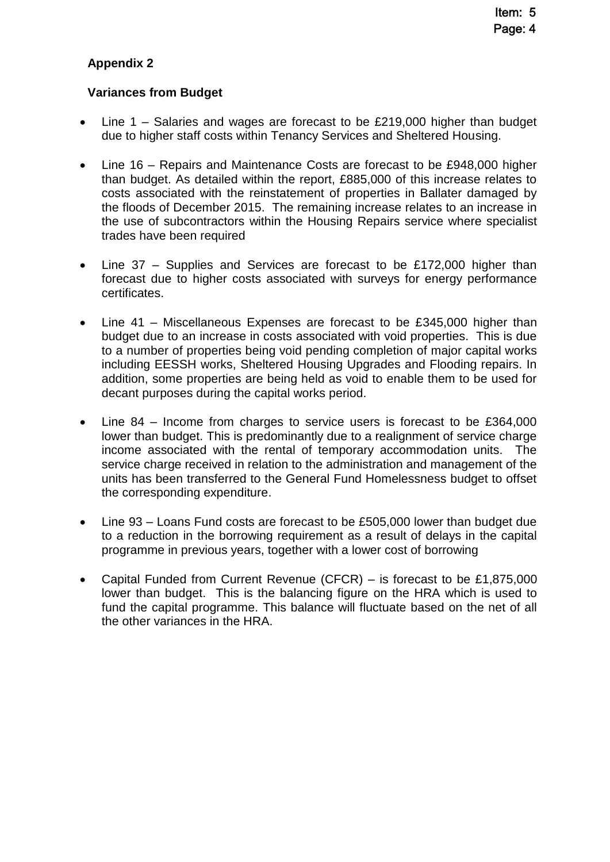## **Appendix 2**

#### **Variances from Budget**

- Line 1 Salaries and wages are forecast to be £219,000 higher than budget due to higher staff costs within Tenancy Services and Sheltered Housing.
- Line 16 Repairs and Maintenance Costs are forecast to be £948,000 higher than budget. As detailed within the report, £885,000 of this increase relates to costs associated with the reinstatement of properties in Ballater damaged by the floods of December 2015. The remaining increase relates to an increase in the use of subcontractors within the Housing Repairs service where specialist trades have been required
- Line 37 Supplies and Services are forecast to be £172,000 higher than forecast due to higher costs associated with surveys for energy performance certificates.
- Line 41 Miscellaneous Expenses are forecast to be £345,000 higher than budget due to an increase in costs associated with void properties. This is due to a number of properties being void pending completion of major capital works including EESSH works, Sheltered Housing Upgrades and Flooding repairs. In addition, some properties are being held as void to enable them to be used for decant purposes during the capital works period.
- Line 84 Income from charges to service users is forecast to be £364,000 lower than budget. This is predominantly due to a realignment of service charge income associated with the rental of temporary accommodation units. The service charge received in relation to the administration and management of the units has been transferred to the General Fund Homelessness budget to offset the corresponding expenditure.
- Line 93 Loans Fund costs are forecast to be £505,000 lower than budget due to a reduction in the borrowing requirement as a result of delays in the capital programme in previous years, together with a lower cost of borrowing
- Capital Funded from Current Revenue (CFCR) is forecast to be £1,875,000 lower than budget. This is the balancing figure on the HRA which is used to fund the capital programme. This balance will fluctuate based on the net of all the other variances in the HRA.